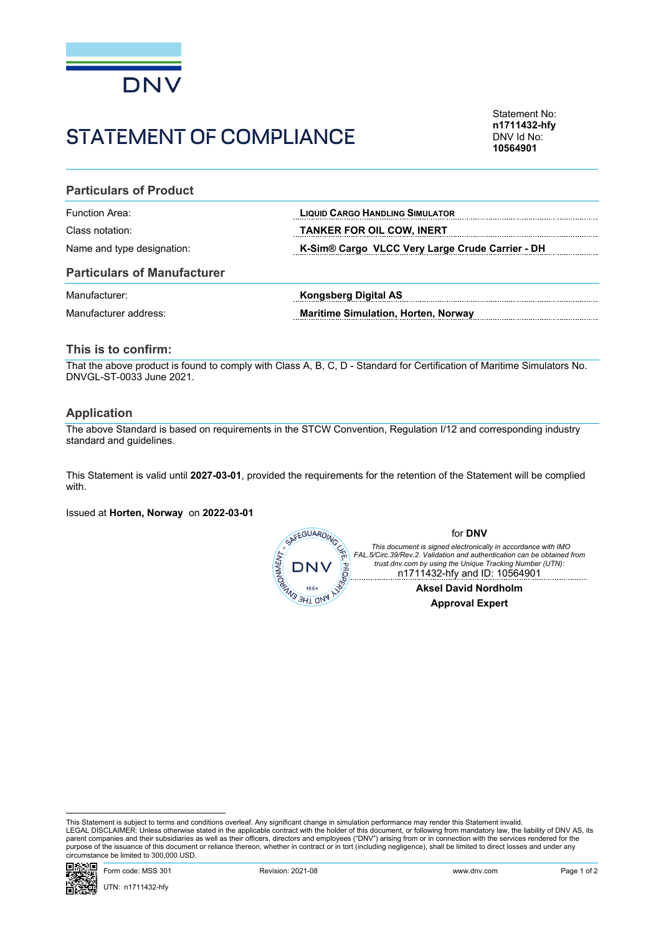

# STATEMENT OF COMPLIANCE

Statement No: **n1711432-hfy** DNV Id No: **10564901**

### **Particulars of Product**

| Function Area:             | <b>LIQUID CARGO HANDLING SIMULATOR</b>          |
|----------------------------|-------------------------------------------------|
| Class notation:            | <b>TANKER FOR OIL COW, INERT</b>                |
| Name and type designation: | K-Sim® Cargo VLCC Very Large Crude Carrier - DH |

### **Particulars of Manufacturer**

| Manufacturer:         | Kongsberg Digital AS                       |
|-----------------------|--------------------------------------------|
| Manufacturer address: | <b>Maritime Simulation, Horten, Norway</b> |

### **This is to confirm:**

That the above product is found to comply with Class A, B, C, D - Standard for Certification of Maritime Simulators No. DNVGL-ST-0033 June 2021.

#### **Application**

The above Standard is based on requirements in the STCW Convention, Regulation I/12 and corresponding industry standard and guidelines.

This Statement is valid until **2027-03-01**, provided the requirements for the retention of the Statement will be complied with.

Issued at **Horten, Norway** on **2022-03-01**



This Statement is subject to terms and conditions overleaf. Any significant change in simulation performance may render this Statement invalid.<br>LEGAL DISCLAIMER: Unless otherwise stated in the applicable contract with the purpose of the issuance of this document or reliance thereon, whether in contract or in tort (including negligence), shall be limited to direct losses and under any circumstance be limited to 300,000 USD.